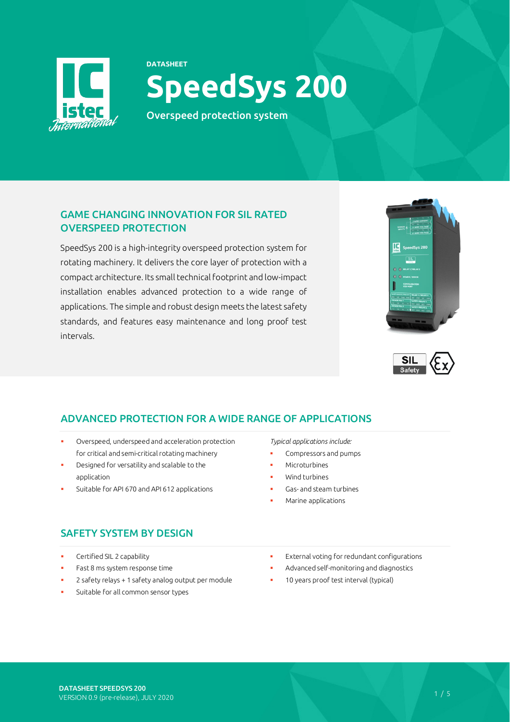

# **DATASHEET SpeedSys 200**

Overspeed protection system

# GAME CHANGING INNOVATION FOR SIL RATED OVERSPEED PROTECTION

SpeedSys 200 is a high-integrity overspeed protection system for rotating machinery. It delivers the core layer of protection with a compact architecture. Its small technical footprint and low-impact installation enables advanced protection to a wide range of applications. The simple and robust design meets the latest safety standards, and features easy maintenance and long proof test intervals.





# ADVANCED PROTECTION FOR A WIDE RANGE OF APPLICATIONS

- Overspeed, underspeed and acceleration protection for critical and semi-critical rotating machinery
- Designed for versatility and scalable to the application
- Suitable for API 670 and API 612 applications

# SAFETY SYSTEM BY DESIGN

- Certified SIL 2 capability
- Fast 8 ms system response time
- 2 safety relays + 1 safety analog output per module
- Suitable for all common sensor types

*Typical applications include:*

- Compressors and pumps
- Microturbines
- Wind turbines
- Gas- and steam turbines
- Marine applications
- External voting for redundant configurations
- Advanced self-monitoring and diagnostics
- 10 years proof test interval (typical)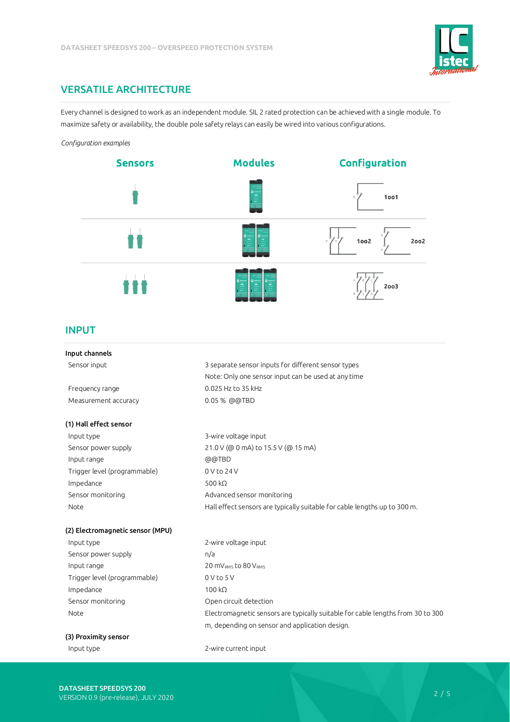

# VERSATILE ARCHITECTURE

Every channel is designed to work as an independent module. SIL 2 rated protection can be achieved with a single module. To maximize safety or availability, the double pole safety relays can easily be wired into various configurations.

### *Configuration examples*



### INPUT

| Input channels                   |                                                                                 |
|----------------------------------|---------------------------------------------------------------------------------|
| Sensor input                     | 3 separate sensor inputs for different sensor types                             |
|                                  | Note: Only one sensor input can be used at any time                             |
| Frequency range                  | 0.025 Hz to 35 kHz                                                              |
| Measurement accuracy             | 0.05 % @@TBD                                                                    |
| (1) Hall effect sensor           |                                                                                 |
| Input type                       | 3-wire voltage input                                                            |
| Sensor power supply              | 21.0 V (@ 0 mA) to 15.5 V (@ 15 mA)                                             |
| Input range                      | @@TBD                                                                           |
| Trigger level (programmable)     | 0 V to 24 V                                                                     |
| Impedance                        | 500 $k\Omega$                                                                   |
| Sensor monitoring                | Advanced sensor monitoring                                                      |
| Note                             | Hall effect sensors are typically suitable for cable lengths up to 300 m.       |
| (2) Electromagnetic sensor (MPU) |                                                                                 |
| Input type                       | 2-wire voltage input                                                            |
| Sensor power supply              | n/a                                                                             |
| Input range                      | 20 MVRMS to 80 VRMS                                                             |
| Trigger level (programmable)     | $0V$ to $5V$                                                                    |
| Impedance                        | 100 k <sub>Q</sub>                                                              |
| Sensor monitoring                | Open circuit detection                                                          |
| Note                             | Electromagnetic sensors are typically suitable for cable lengths from 30 to 300 |
|                                  | m, depending on sensor and application design.                                  |

# (3) Proximity sensor

Input type 2-wire current input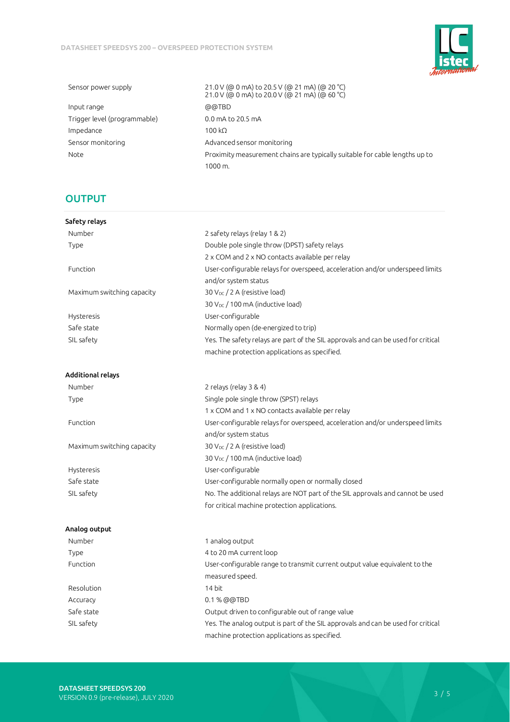

 Input range @@TBD Trigger level (programmable) 0.0 mA to 20.5 mA Impedance 100 kΩ Sensor monitoring and all the Madvanced sensor monitoring

 Sensor power supply 21.0 V (@ 0 mA) to 20.5 V (@ 21 mA) (@ 20 °C) 21.0 V (@ 0 mA) to 20.0 V (@ 21 mA) (@ 60 °C) Note Proximity measurement chains are typically suitable for cable lengths up to 1000 m.

# **OUTPUT**

| Safety relays              |                                                                                   |  |  |
|----------------------------|-----------------------------------------------------------------------------------|--|--|
| Number                     | 2 safety relays (relay 1 & 2)                                                     |  |  |
| Type                       | Double pole single throw (DPST) safety relays                                     |  |  |
|                            | 2 x COM and 2 x NO contacts available per relay                                   |  |  |
| Function                   | User-configurable relays for overspeed, acceleration and/or underspeed limits     |  |  |
|                            | and/or system status                                                              |  |  |
| Maximum switching capacity | 30 V <sub>DC</sub> / 2 A (resistive load)                                         |  |  |
|                            | 30 V <sub>DC</sub> / 100 mA (inductive load)                                      |  |  |
| Hysteresis                 | User-configurable                                                                 |  |  |
| Safe state                 | Normally open (de-energized to trip)                                              |  |  |
| SIL safety                 | Yes. The safety relays are part of the SIL approvals and can be used for critical |  |  |
|                            | machine protection applications as specified.                                     |  |  |
| <b>Additional relays</b>   |                                                                                   |  |  |
| Number                     | 2 relays (relay 3 & 4)                                                            |  |  |
| Type                       | Single pole single throw (SPST) relays                                            |  |  |
|                            | 1 x COM and 1 x NO contacts available per relay                                   |  |  |
| Function                   | User-configurable relays for overspeed, acceleration and/or underspeed limits     |  |  |
|                            | and/or system status                                                              |  |  |
| Maximum switching capacity | 30 V <sub>DC</sub> / 2 A (resistive load)                                         |  |  |
|                            | 30 V <sub>DC</sub> / 100 mA (inductive load)                                      |  |  |
| <b>Hysteresis</b>          | User-configurable                                                                 |  |  |
| Safe state                 | User-configurable normally open or normally closed                                |  |  |
| SIL safety                 | No. The additional relays are NOT part of the SIL approvals and cannot be used    |  |  |
|                            | for critical machine protection applications.                                     |  |  |
| Analog output              |                                                                                   |  |  |
| Number                     | 1 analog output                                                                   |  |  |
| Type                       | 4 to 20 mA current loop                                                           |  |  |
| Function                   | User-configurable range to transmit current output value equivalent to the        |  |  |
|                            | measured speed.                                                                   |  |  |
| Resolution                 | 14 bit                                                                            |  |  |
| Accuracy                   | 0.1 % @@TBD                                                                       |  |  |
| Safe state                 | Output driven to configurable out of range value                                  |  |  |
| SIL safety                 | Yes. The analog output is part of the SIL approvals and can be used for critical  |  |  |
|                            | machine protection applications as specified.                                     |  |  |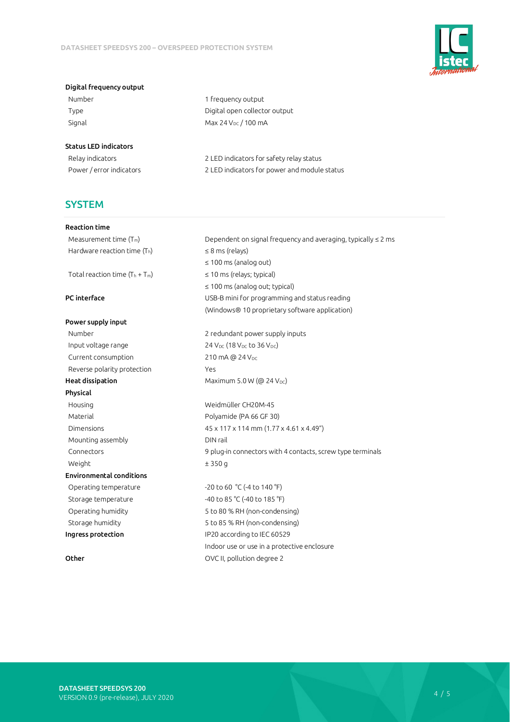

#### Digital frequency output

Number 1 frequency output

Type Type **Digital open collector output** Signal Max  $24$  V<sub>DC</sub> / 100 mA

### Status LED indicators

 Relay indicators 2 LED indicators for safety relay status Power / error indicators 2 LED indicators for power and module status

# **SYSTEM**

#### Reaction time

Hardware reaction time  $(T_h)$   $\leq$  8 ms (relays)

#### Power supply input

Input voltage range  $24 \text{ V}_{\text{DC}} (18 \text{ V}_{\text{DC}} \text{ to } 36 \text{ V}_{\text{DC}})$ Current consumption 210 mA @ 24 V<sub>DC</sub> Reverse polarity protection The Mess **Heat dissipation** Maximum 5.0 W ( $@ 24 V_{DC}$ ) Physical Housing Weidmüller CH20M-45 Material Material Polyamide (PA 66 GF 30) Mounting assembly **Example 2018** DIN rail Weight  $\pm 350 g$ Environmental conditions Operating temperature -20 to 60 °C (-4 to 140 °F) Storage temperature  $-40$  to 85 °C (-40 to 185 °F) Ingress protection IP20 according to IEC 60529

Measurement time  $(T_m)$  Dependent on signal frequency and averaging, typically  $\leq 2$  ms ≤ 100 ms (analog out) Total reaction time  $(T_h + T_m)$   $\leq 10$  ms (relays; typical) ≤ 100 ms (analog out; typical) **PC interface** The USB-B mini for programming and status reading (Windows® 10 proprietary software application)

Number 2 redundant power supply inputs

 Dimensions 45 x 117 x 114 mm (1.77 x 4.61 x 4.49") Connectors 9 plug-in connectors with 4 contacts, screw type terminals

 Operating humidity 5 to 80 % RH (non-condensing) Storage humidity 5 to 85 % RH (non-condensing) Indoor use or use in a protective enclosure Other OVC II, pollution degree 2